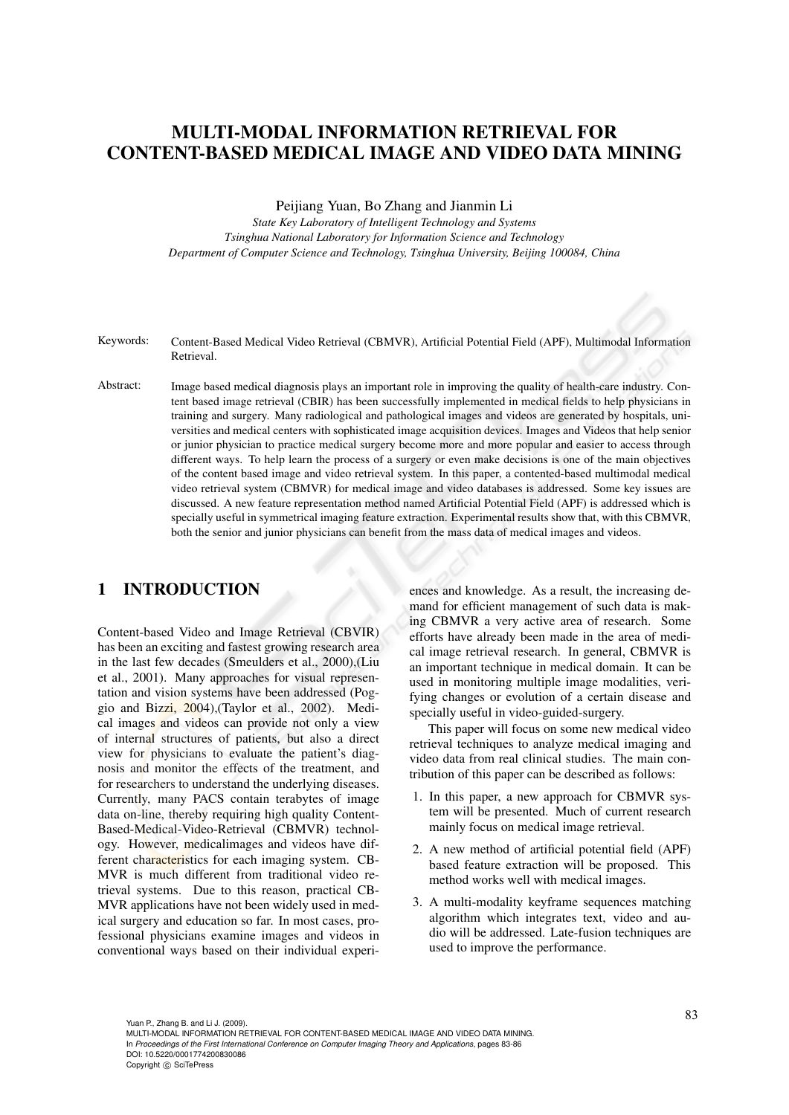# MULTI-MODAL INFORMATION RETRIEVAL FOR CONTENT-BASED MEDICAL IMAGE AND VIDEO DATA MINING

Peijiang Yuan, Bo Zhang and Jianmin Li

*State Key Laboratory of Intelligent Technology and Systems Tsinghua National Laboratory for Information Science and Technology Department of Computer Science and Technology, Tsinghua University, Beijing 100084, China*

- Keywords: Content-Based Medical Video Retrieval (CBMVR), Artificial Potential Field (APF), Multimodal Information Retrieval.
- Abstract: Image based medical diagnosis plays an important role in improving the quality of health-care industry. Content based image retrieval (CBIR) has been successfully implemented in medical fields to help physicians in training and surgery. Many radiological and pathological images and videos are generated by hospitals, universities and medical centers with sophisticated image acquisition devices. Images and Videos that help senior or junior physician to practice medical surgery become more and more popular and easier to access through different ways. To help learn the process of a surgery or even make decisions is one of the main objectives of the content based image and video retrieval system. In this paper, a contented-based multimodal medical video retrieval system (CBMVR) for medical image and video databases is addressed. Some key issues are discussed. A new feature representation method named Artificial Potential Field (APF) is addressed which is specially useful in symmetrical imaging feature extraction. Experimental results show that, with this CBMVR, both the senior and junior physicians can benefit from the mass data of medical images and videos.

## 1 INTRODUCTION

Content-based Video and Image Retrieval (CBVIR) has been an exciting and fastest growing research area in the last few decades (Smeulders et al., 2000),(Liu et al., 2001). Many approaches for visual representation and vision systems have been addressed (Poggio and Bizzi, 2004),(Taylor et al., 2002). Medical images and videos can provide not only a view of internal structures of patients, but also a direct view for physicians to evaluate the patient's diagnosis and monitor the effects of the treatment, and for researchers to understand the underlying diseases. Currently, many PACS contain terabytes of image data on-line, thereby requiring high quality Content-Based-Medical-Video-Retrieval (CBMVR) technology. However, medicalimages and videos have different characteristics for each imaging system. CB-MVR is much different from traditional video retrieval systems. Due to this reason, practical CB-MVR applications have not been widely used in medical surgery and education so far. In most cases, professional physicians examine images and videos in conventional ways based on their individual experi-

ences and knowledge. As a result, the increasing demand for efficient management of such data is making CBMVR a very active area of research. Some efforts have already been made in the area of medical image retrieval research. In general, CBMVR is an important technique in medical domain. It can be used in monitoring multiple image modalities, verifying changes or evolution of a certain disease and specially useful in video-guided-surgery.

This paper will focus on some new medical video retrieval techniques to analyze medical imaging and video data from real clinical studies. The main contribution of this paper can be described as follows:

- 1. In this paper, a new approach for CBMVR system will be presented. Much of current research mainly focus on medical image retrieval.
- 2. A new method of artificial potential field (APF) based feature extraction will be proposed. This method works well with medical images.
- 3. A multi-modality keyframe sequences matching algorithm which integrates text, video and audio will be addressed. Late-fusion techniques are used to improve the performance.

Yuan P., Zhang B. and Li J. (2009). MULTI-MODAL INFORMATION RETRIEVAL FOR CONTENT-BASED MEDICAL IMAGE AND VIDEO DATA MINING. In *Proceedings of the First International Conference on Computer Imaging Theory and Applications*, pages 83-86 DOI: 10.5220/0001774200830086 Copyright © SciTePress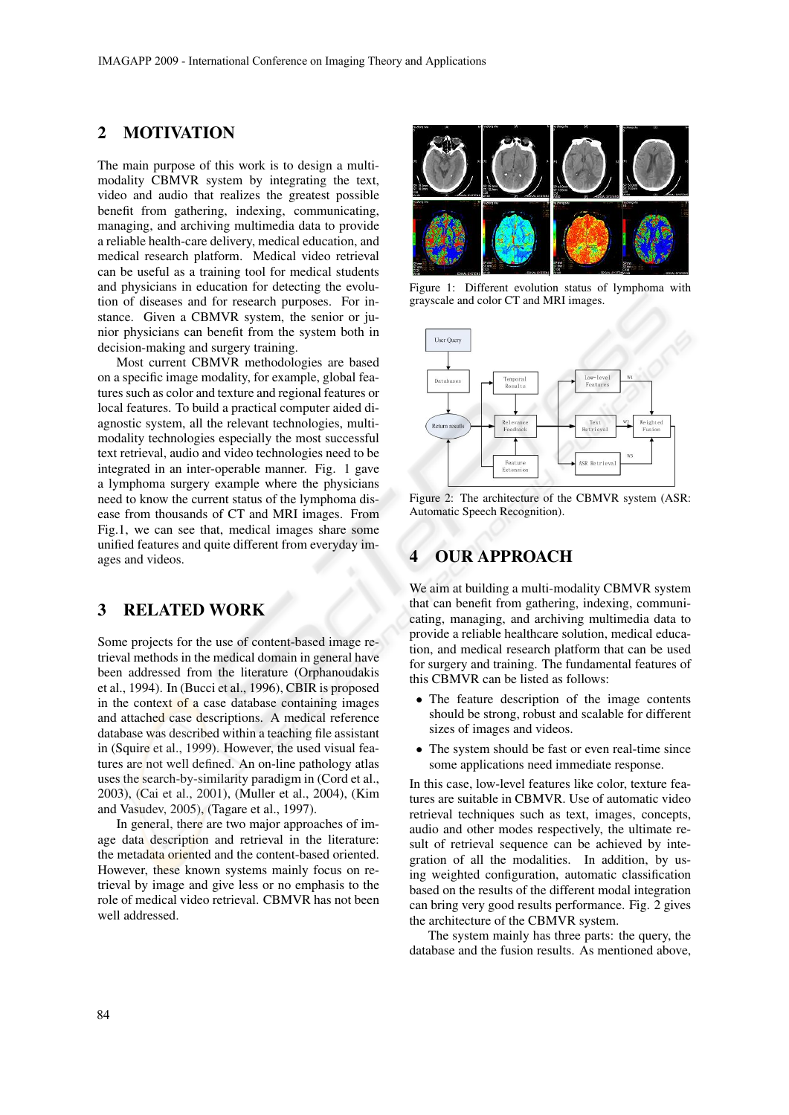### 2 MOTIVATION

The main purpose of this work is to design a multimodality CBMVR system by integrating the text, video and audio that realizes the greatest possible benefit from gathering, indexing, communicating, managing, and archiving multimedia data to provide a reliable health-care delivery, medical education, and medical research platform. Medical video retrieval can be useful as a training tool for medical students and physicians in education for detecting the evolution of diseases and for research purposes. For instance. Given a CBMVR system, the senior or junior physicians can benefit from the system both in decision-making and surgery training.

Most current CBMVR methodologies are based on a specific image modality, for example, global features such as color and texture and regional features or local features. To build a practical computer aided diagnostic system, all the relevant technologies, multimodality technologies especially the most successful text retrieval, audio and video technologies need to be integrated in an inter-operable manner. Fig. 1 gave a lymphoma surgery example where the physicians need to know the current status of the lymphoma disease from thousands of CT and MRI images. From Fig.1, we can see that, medical images share some unified features and quite different from everyday images and videos.

### 3 RELATED WORK

Some projects for the use of content-based image retrieval methods in the medical domain in general have been addressed from the literature (Orphanoudakis et al., 1994). In (Bucci et al., 1996), CBIR is proposed in the context of a case database containing images and attached case descriptions. A medical reference database was described within a teaching file assistant in (Squire et al., 1999). However, the used visual features are not well defined. An on-line pathology atlas uses the search-by-similarity paradigm in (Cord et al., 2003), (Cai et al., 2001), (Muller et al., 2004), (Kim and Vasudev, 2005), (Tagare et al., 1997).

In general, there are two major approaches of image data description and retrieval in the literature: the metadata oriented and the content-based oriented. However, these known systems mainly focus on retrieval by image and give less or no emphasis to the role of medical video retrieval. CBMVR has not been well addressed.



Figure 1: Different evolution status of lymphoma with grayscale and color CT and MRI images.



Figure 2: The architecture of the CBMVR system (ASR: Automatic Speech Recognition).

## 4 OUR APPROACH

We aim at building a multi-modality CBMVR system that can benefit from gathering, indexing, communicating, managing, and archiving multimedia data to provide a reliable healthcare solution, medical education, and medical research platform that can be used for surgery and training. The fundamental features of this CBMVR can be listed as follows:

- The feature description of the image contents should be strong, robust and scalable for different sizes of images and videos.
- The system should be fast or even real-time since some applications need immediate response.

In this case, low-level features like color, texture features are suitable in CBMVR. Use of automatic video retrieval techniques such as text, images, concepts, audio and other modes respectively, the ultimate result of retrieval sequence can be achieved by integration of all the modalities. In addition, by using weighted configuration, automatic classification based on the results of the different modal integration can bring very good results performance. Fig. 2 gives the architecture of the CBMVR system.

The system mainly has three parts: the query, the database and the fusion results. As mentioned above,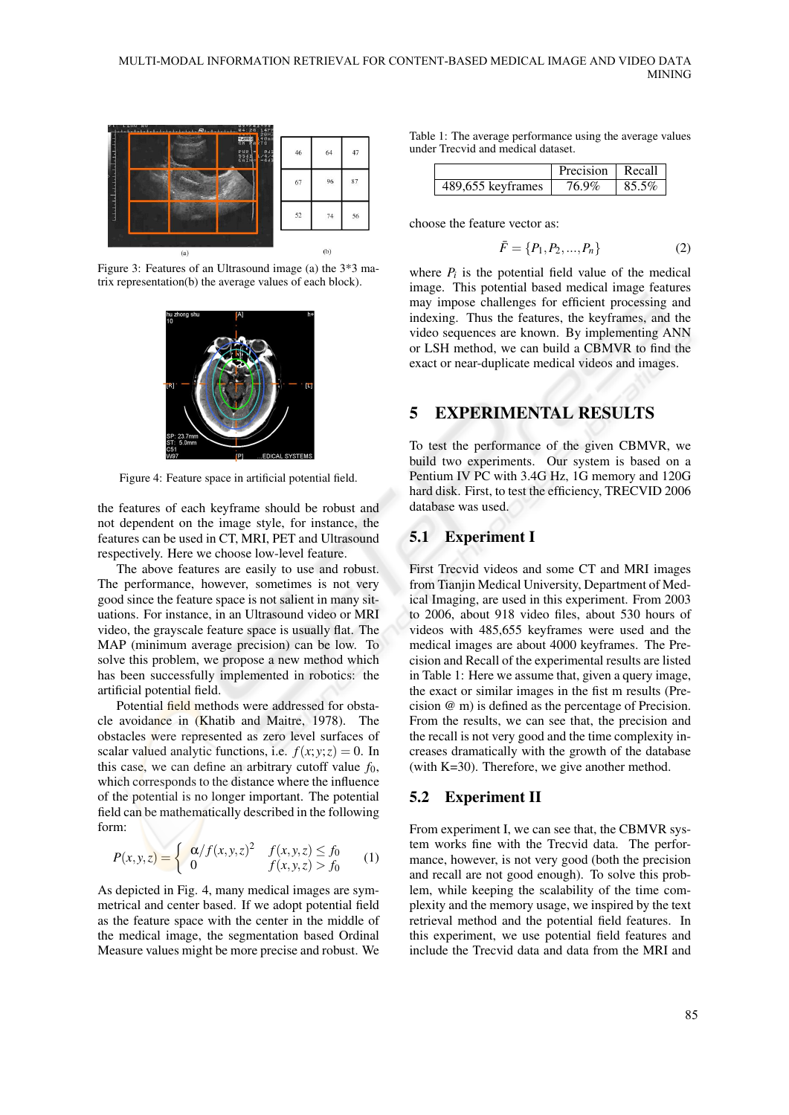

Figure 3: Features of an Ultrasound image (a) the 3\*3 matrix representation(b) the average values of each block).



Figure 4: Feature space in artificial potential field.

the features of each keyframe should be robust and not dependent on the image style, for instance, the features can be used in CT, MRI, PET and Ultrasound respectively. Here we choose low-level feature.

The above features are easily to use and robust. The performance, however, sometimes is not very good since the feature space is not salient in many situations. For instance, in an Ultrasound video or MRI video, the grayscale feature space is usually flat. The MAP (minimum average precision) can be low. To solve this problem, we propose a new method which has been successfully implemented in robotics: the artificial potential field.

Potential field methods were addressed for obstacle avoidance in (Khatib and Maitre, 1978). The obstacles were represented as zero level surfaces of scalar valued analytic functions, i.e.  $f(x, y; z) = 0$ . In this case, we can define an arbitrary cutoff value  $f_0$ , which corresponds to the distance where the influence of the potential is no longer important. The potential field can be mathematically described in the following form:

$$
P(x, y, z) = \begin{cases} \alpha/f(x, y, z)^2 & f(x, y, z) \le f_0 \\ 0 & f(x, y, z) > f_0 \end{cases}
$$
 (1)

As depicted in Fig. 4, many medical images are symmetrical and center based. If we adopt potential field as the feature space with the center in the middle of the medical image, the segmentation based Ordinal Measure values might be more precise and robust. We

Table 1: The average performance using the average values under Trecvid and medical dataset.

|                   | Precision Recall |       |
|-------------------|------------------|-------|
| 489,655 keyframes | 76.9%            | 85.5% |

choose the feature vector as:

$$
\bar{F} = \{P_1, P_2, ..., P_n\} \tag{2}
$$

where  $P_i$  is the potential field value of the medical image. This potential based medical image features may impose challenges for efficient processing and indexing. Thus the features, the keyframes, and the video sequences are known. By implementing ANN or LSH method, we can build a CBMVR to find the exact or near-duplicate medical videos and images.

## 5 EXPERIMENTAL RESULTS

To test the performance of the given CBMVR, we build two experiments. Our system is based on a Pentium IV PC with 3.4G Hz, 1G memory and 120G hard disk. First, to test the efficiency, TRECVID 2006 database was used.

#### 5.1 Experiment I

First Trecvid videos and some CT and MRI images from Tianjin Medical University, Department of Medical Imaging, are used in this experiment. From 2003 to 2006, about 918 video files, about 530 hours of videos with 485,655 keyframes were used and the medical images are about 4000 keyframes. The Precision and Recall of the experimental results are listed in Table 1: Here we assume that, given a query image, the exact or similar images in the fist m results (Precision @ m) is defined as the percentage of Precision. From the results, we can see that, the precision and the recall is not very good and the time complexity increases dramatically with the growth of the database (with K=30). Therefore, we give another method.

#### 5.2 Experiment II

From experiment I, we can see that, the CBMVR system works fine with the Trecvid data. The performance, however, is not very good (both the precision and recall are not good enough). To solve this problem, while keeping the scalability of the time complexity and the memory usage, we inspired by the text retrieval method and the potential field features. In this experiment, we use potential field features and include the Trecvid data and data from the MRI and